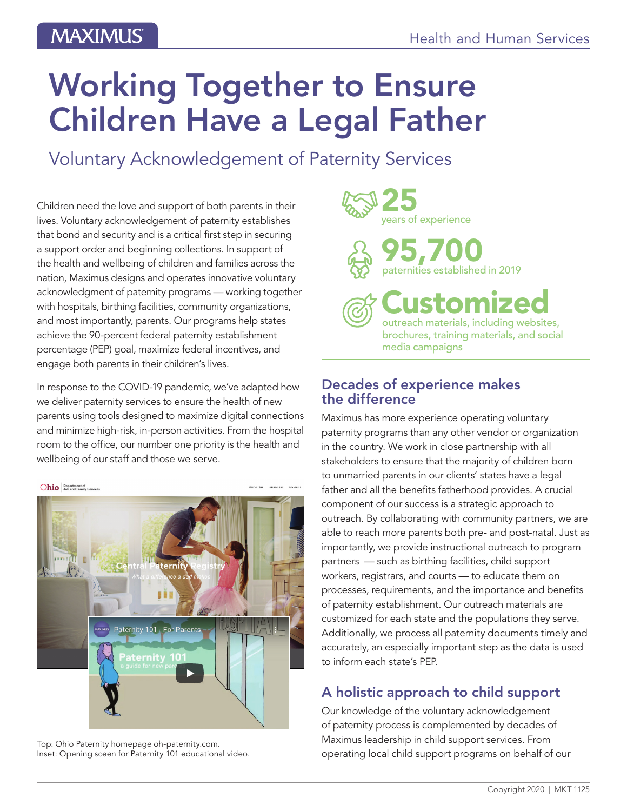# Working Together to Ensure Children Have a Legal Father

Voluntary Acknowledgement of Paternity Services

Children need the love and support of both parents in their lives. Voluntary acknowledgement of paternity establishes that bond and security and is a critical first step in securing a support order and beginning collections. In support of the health and wellbeing of children and families across the nation, Maximus designs and operates innovative voluntary acknowledgment of paternity programs — working together with hospitals, birthing facilities, community organizations, and most importantly, parents. Our programs help states achieve the 90-percent federal paternity establishment percentage (PEP) goal, maximize federal incentives, and engage both parents in their children's lives.

In response to the COVID-19 pandemic, we've adapted how we deliver paternity services to ensure the health of new parents using tools designed to maximize digital connections and minimize high-risk, in-person activities. From the hospital room to the office, our number one priority is the health and wellbeing of our staff and those we serve.



Top: Ohio Paternity homepage oh-paternity.com. Inset: Opening sceen for Paternity 101 educational video.



#### Decades of experience makes the difference

Maximus has more experience operating voluntary paternity programs than any other vendor or organization in the country. We work in close partnership with all stakeholders to ensure that the majority of children born to unmarried parents in our clients' states have a legal father and all the benefits fatherhood provides. A crucial component of our success is a strategic approach to outreach. By collaborating with community partners, we are able to reach more parents both pre- and post-natal. Just as importantly, we provide instructional outreach to program partners — such as birthing facilities, child support workers, registrars, and courts — to educate them on processes, requirements, and the importance and benefits of paternity establishment. Our outreach materials are customized for each state and the populations they serve. Additionally, we process all paternity documents timely and accurately, an especially important step as the data is used to inform each state's PEP.

## A holistic approach to child support

Our knowledge of the voluntary acknowledgement of paternity process is complemented by decades of Maximus leadership in child support services. From operating local child support programs on behalf of our